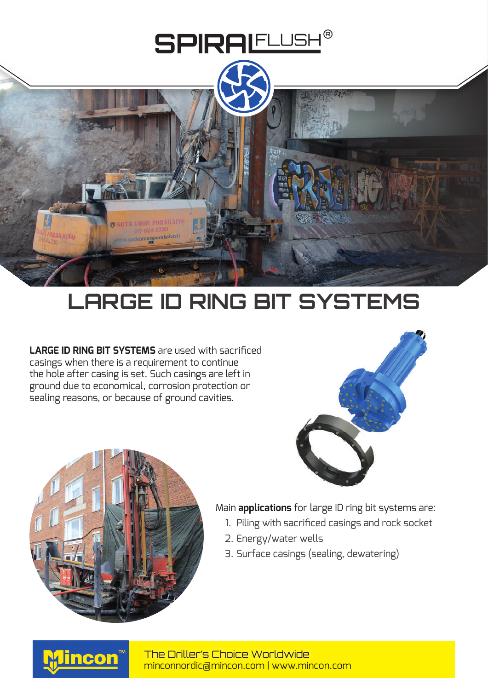

## **LARGE ID RING BIT SYSTEMS**

**LARGE ID RING BIT SYSTEMS** are used with sacrificed casings when there is a requirement to continue the hole after casing is set. Such casings are left in ground due to economical, corrosion protection or sealing reasons, or because of ground cavities.





Main **applications** for large ID ring bit systems are:

- 1. Piling with sacrificed casings and rock socket
- 2. Energy/water wells
- 3. Surface casings (sealing, dewatering)



minconnordic@mincon.com | www.mincon.com The Driller's Choice Worldwide